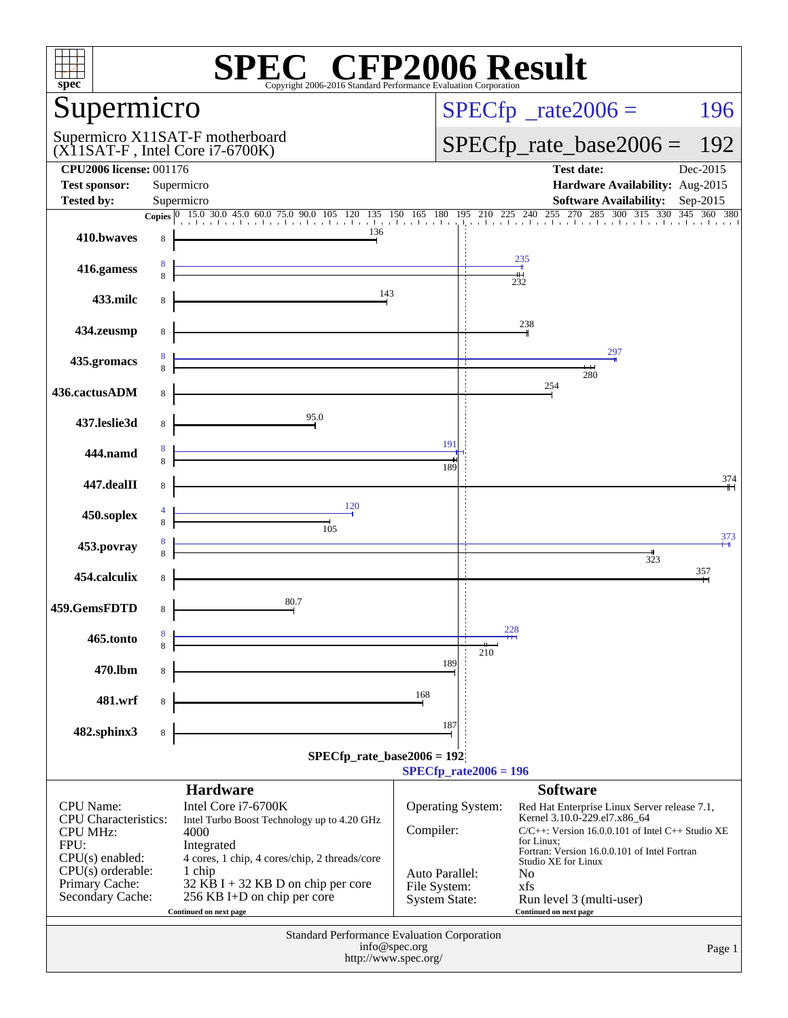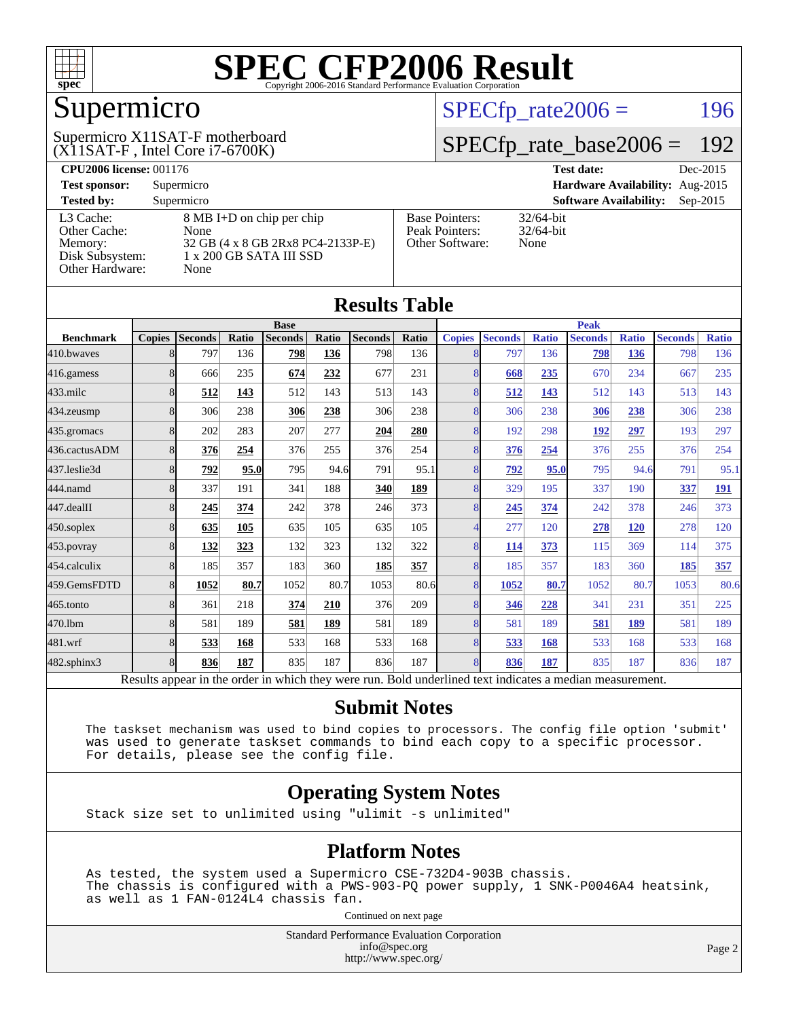

## Supermicro

(X11SAT-F , Intel Core i7-6700K) Supermicro X11SAT-F motherboard  $SPECTp_rate2006 = 196$ 

#### [SPECfp\\_rate\\_base2006 =](http://www.spec.org/auto/cpu2006/Docs/result-fields.html#SPECfpratebase2006) 192

| <b>CPU2006 license: 001176</b> |                                           |                                        | <b>Test date:</b><br>Dec-2015               |
|--------------------------------|-------------------------------------------|----------------------------------------|---------------------------------------------|
| <b>Test sponsor:</b>           | Supermicro                                | <b>Hardware Availability:</b> Aug-2015 |                                             |
| <b>Tested by:</b>              | Supermicro                                |                                        | <b>Software Availability:</b><br>$Sep-2015$ |
| L3 Cache:                      | $8 \text{ MB I+D}$ on chip per chip       | <b>Base Pointers:</b>                  | $32/64$ -bit                                |
| Other Cache:<br>Memory:        | None<br>32 GB (4 x 8 GB 2Rx8 PC4-2133P-E) | Peak Pointers:<br>Other Software:      | $32/64$ -bit<br>None                        |
| Disk Subsystem:                | 1 x 200 GB SATA III SSD                   |                                        |                                             |
| Other Hardware:                | None                                      |                                        |                                             |

**[Results Table](http://www.spec.org/auto/cpu2006/Docs/result-fields.html#ResultsTable)**

| Results Tadie                                                                                            |               |                |       |                |             |                |       |               |                |              |                |              |                |              |
|----------------------------------------------------------------------------------------------------------|---------------|----------------|-------|----------------|-------------|----------------|-------|---------------|----------------|--------------|----------------|--------------|----------------|--------------|
|                                                                                                          | <b>Base</b>   |                |       |                | <b>Peak</b> |                |       |               |                |              |                |              |                |              |
| <b>Benchmark</b>                                                                                         | <b>Copies</b> | <b>Seconds</b> | Ratio | <b>Seconds</b> | Ratio       | <b>Seconds</b> | Ratio | <b>Copies</b> | <b>Seconds</b> | <b>Ratio</b> | <b>Seconds</b> | <b>Ratio</b> | <b>Seconds</b> | <b>Ratio</b> |
| 410.bwayes                                                                                               | 81            | 797            | 136   | 798            | 136         | 798            | 136   | 8             | 797            | 136          | 798            | 136          | 798            | 136          |
| 416.gamess                                                                                               | 8             | 666            | 235   | 674            | 232         | 677            | 231   | 8             | 668            | 235          | 670            | 234          | 667            | 235          |
| $433$ .milc                                                                                              | 8             | 512            | 143   | 512            | 143         | 513            | 143   | 8             | 512            | 143          | 512            | 143          | 513            | 143          |
| 434.zeusmp                                                                                               | 8             | 306            | 238   | 306            | 238         | 306            | 238   | 8             | 306            | 238          | 306            | 238          | 306            | 238          |
| 435.gromacs                                                                                              | 8             | 202            | 283   | 207            | 277         | 204            | 280   | 8             | 192            | 298          | <u>192</u>     | 297          | 193            | 297          |
| 436.cactusADM                                                                                            | 8             | 376            | 254   | 376            | 255         | 376            | 254   | 8             | 376            | 254          | 376            | 255          | 376            | 254          |
| 437.leslie3d                                                                                             | 8             | 792            | 95.0  | 795            | 94.6        | 791            | 95.1  | 8             | 792            | 95.0         | 795            | 94.6         | 791            | 95.1         |
| 444.namd                                                                                                 | 8             | 337            | 191   | 341            | 188         | 340            | 189   | 8             | 329            | 195          | 337            | 190          | 337            | <u>191</u>   |
| 447.dealII                                                                                               | 8             | 245            | 374   | 242            | 378         | 246            | 373   | 8             | 245            | 374          | 242            | 378          | 246            | 373          |
| 450.soplex                                                                                               | 8             | 635            | 105   | 635            | 105         | 635            | 105   | 4             | 277            | 120          | 278            | 120          | 278            | 120          |
| 453.povray                                                                                               | 8             | 132            | 323   | 132            | 323         | 132            | 322   | 8             | <u>114</u>     | 373          | 115            | 369          | 114            | 375          |
| 454.calculix                                                                                             | 8             | 185            | 357   | 183            | 360         | 185            | 357   | 8             | 185            | 357          | 183            | 360          | 185            | 357          |
| 459.GemsFDTD                                                                                             | 8             | 1052           | 80.7  | 1052           | 80.7        | 1053           | 80.6  | 8             | 1052           | 80.7         | 1052           | 80.7         | 1053           | 80.6         |
| 465.tonto                                                                                                | 8             | 361            | 218   | 374            | 210         | 376            | 209   | 8             | 346            | 228          | 341            | 231          | 351            | 225          |
| 470.1bm                                                                                                  | 8             | 581            | 189   | 581            | 189         | 581            | 189   | 8             | 581            | 189          | 581            | 189          | 581            | 189          |
| 481.wrf                                                                                                  | 8             | 533            | 168   | 533            | 168         | 533            | 168   | 8             | 533            | 168          | 533            | 168          | 533            | 168          |
| 482.sphinx3                                                                                              | 8             | 836            | 187   | 835            | 187         | 836            | 187   | 8             | 836            | 187          | 835            | 187          | 836            | 187          |
| Results appear in the order in which they were run. Bold underlined text indicates a median measurement. |               |                |       |                |             |                |       |               |                |              |                |              |                |              |

**[Submit Notes](http://www.spec.org/auto/cpu2006/Docs/result-fields.html#SubmitNotes)**

 The taskset mechanism was used to bind copies to processors. The config file option 'submit' was used to generate taskset commands to bind each copy to a specific processor. For details, please see the config file.

#### **[Operating System Notes](http://www.spec.org/auto/cpu2006/Docs/result-fields.html#OperatingSystemNotes)**

Stack size set to unlimited using "ulimit -s unlimited"

#### **[Platform Notes](http://www.spec.org/auto/cpu2006/Docs/result-fields.html#PlatformNotes)**

 As tested, the system used a Supermicro CSE-732D4-903B chassis. The chassis is configured with a PWS-903-PQ power supply, 1 SNK-P0046A4 heatsink, as well as 1 FAN-0124L4 chassis fan.

Continued on next page

Standard Performance Evaluation Corporation [info@spec.org](mailto:info@spec.org) <http://www.spec.org/>

Page 2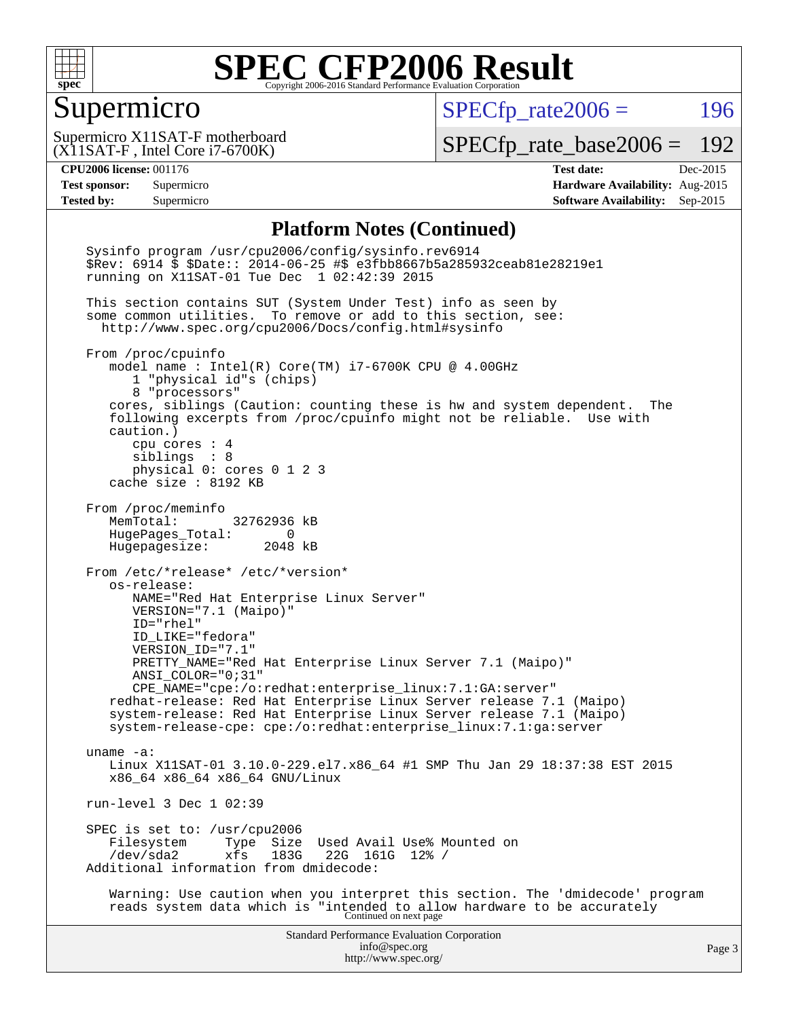

#### Supermicro

 $SPECTp\_rate2006 = 196$ 

(X11SAT-F , Intel Core i7-6700K) Supermicro X11SAT-F motherboard

[SPECfp\\_rate\\_base2006 =](http://www.spec.org/auto/cpu2006/Docs/result-fields.html#SPECfpratebase2006) 192

**[CPU2006 license:](http://www.spec.org/auto/cpu2006/Docs/result-fields.html#CPU2006license)** 001176 **[Test date:](http://www.spec.org/auto/cpu2006/Docs/result-fields.html#Testdate)** Dec-2015 **[Test sponsor:](http://www.spec.org/auto/cpu2006/Docs/result-fields.html#Testsponsor)** Supermicro **[Hardware Availability:](http://www.spec.org/auto/cpu2006/Docs/result-fields.html#HardwareAvailability)** Aug-2015 **[Tested by:](http://www.spec.org/auto/cpu2006/Docs/result-fields.html#Testedby)** Supermicro **Supermicro [Software Availability:](http://www.spec.org/auto/cpu2006/Docs/result-fields.html#SoftwareAvailability)** Sep-2015

#### **[Platform Notes \(Continued\)](http://www.spec.org/auto/cpu2006/Docs/result-fields.html#PlatformNotes)**

Standard Performance Evaluation Corporation [info@spec.org](mailto:info@spec.org) <http://www.spec.org/> Page 3 Sysinfo program /usr/cpu2006/config/sysinfo.rev6914 \$Rev: 6914 \$ \$Date:: 2014-06-25 #\$ e3fbb8667b5a285932ceab81e28219e1 running on X11SAT-01 Tue Dec 1 02:42:39 2015 This section contains SUT (System Under Test) info as seen by some common utilities. To remove or add to this section, see: <http://www.spec.org/cpu2006/Docs/config.html#sysinfo> From /proc/cpuinfo model name : Intel(R) Core(TM) i7-6700K CPU @ 4.00GHz 1 "physical id"s (chips) 8 "processors" cores, siblings (Caution: counting these is hw and system dependent. The following excerpts from /proc/cpuinfo might not be reliable. Use with caution.) cpu cores : 4 siblings : 8 physical 0: cores 0 1 2 3 cache size : 8192 KB From /proc/meminfo MemTotal: 32762936 kB HugePages\_Total: 0 Hugepagesize: 2048 kB From /etc/\*release\* /etc/\*version\* os-release: NAME="Red Hat Enterprise Linux Server" VERSION="7.1 (Maipo)" ID="rhel" ID\_LIKE="fedora" VERSION\_ID="7.1" PRETTY\_NAME="Red Hat Enterprise Linux Server 7.1 (Maipo)" ANSI\_COLOR="0;31" CPE\_NAME="cpe:/o:redhat:enterprise\_linux:7.1:GA:server" redhat-release: Red Hat Enterprise Linux Server release 7.1 (Maipo) system-release: Red Hat Enterprise Linux Server release 7.1 (Maipo) system-release-cpe: cpe:/o:redhat:enterprise\_linux:7.1:ga:server uname -a: Linux X11SAT-01 3.10.0-229.el7.x86\_64 #1 SMP Thu Jan 29 18:37:38 EST 2015 x86\_64 x86\_64 x86\_64 GNU/Linux run-level 3 Dec 1 02:39 SPEC is set to: /usr/cpu2006<br>Filesystem Type Size Filesystem Type Size Used Avail Use% Mounted on<br>/dev/sda2 xfs 183G 22G 161G 12% / /dev/sda2 xfs 183G 22G 161G 12% / Additional information from dmidecode: Warning: Use caution when you interpret this section. The 'dmidecode' program reads system data which is "intended to allow hardware to be accurately Continued on next page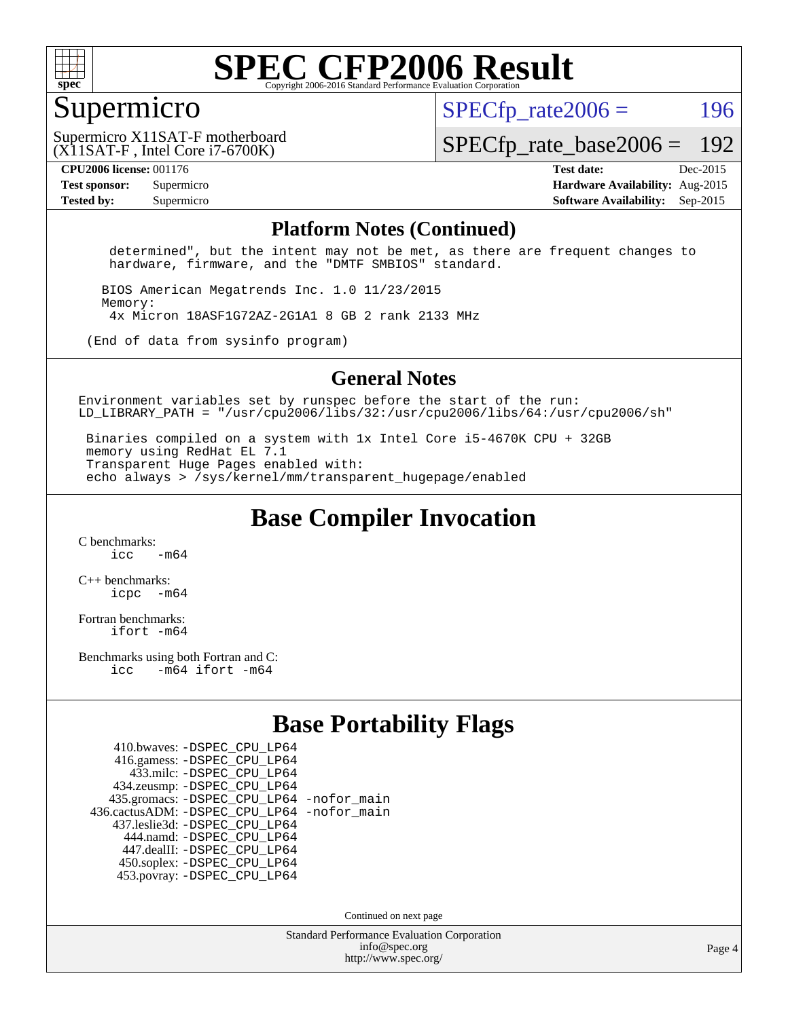

#### Supermicro

 $SPECTp\_rate2006 = 196$ 

(X11SAT-F , Intel Core i7-6700K) Supermicro X11SAT-F motherboard

[SPECfp\\_rate\\_base2006 =](http://www.spec.org/auto/cpu2006/Docs/result-fields.html#SPECfpratebase2006) 192

**[CPU2006 license:](http://www.spec.org/auto/cpu2006/Docs/result-fields.html#CPU2006license)** 001176 **[Test date:](http://www.spec.org/auto/cpu2006/Docs/result-fields.html#Testdate)** Dec-2015 **[Test sponsor:](http://www.spec.org/auto/cpu2006/Docs/result-fields.html#Testsponsor)** Supermicro **[Hardware Availability:](http://www.spec.org/auto/cpu2006/Docs/result-fields.html#HardwareAvailability)** Aug-2015 **[Tested by:](http://www.spec.org/auto/cpu2006/Docs/result-fields.html#Testedby)** Supermicro **Supermicro [Software Availability:](http://www.spec.org/auto/cpu2006/Docs/result-fields.html#SoftwareAvailability)** Sep-2015

#### **[Platform Notes \(Continued\)](http://www.spec.org/auto/cpu2006/Docs/result-fields.html#PlatformNotes)**

 determined", but the intent may not be met, as there are frequent changes to hardware, firmware, and the "DMTF SMBIOS" standard.

 BIOS American Megatrends Inc. 1.0 11/23/2015 Memory: 4x Micron 18ASF1G72AZ-2G1A1 8 GB 2 rank 2133 MHz

(End of data from sysinfo program)

#### **[General Notes](http://www.spec.org/auto/cpu2006/Docs/result-fields.html#GeneralNotes)**

Environment variables set by runspec before the start of the run: LD LIBRARY PATH = "/usr/cpu2006/libs/32:/usr/cpu2006/libs/64:/usr/cpu2006/sh"

 Binaries compiled on a system with 1x Intel Core i5-4670K CPU + 32GB memory using RedHat EL 7.1 Transparent Huge Pages enabled with: echo always > /sys/kernel/mm/transparent\_hugepage/enabled

**[Base Compiler Invocation](http://www.spec.org/auto/cpu2006/Docs/result-fields.html#BaseCompilerInvocation)**

[C benchmarks](http://www.spec.org/auto/cpu2006/Docs/result-fields.html#Cbenchmarks):  $\frac{1}{2}$  cc  $-$  m64

[C++ benchmarks:](http://www.spec.org/auto/cpu2006/Docs/result-fields.html#CXXbenchmarks) [icpc -m64](http://www.spec.org/cpu2006/results/res2016q1/cpu2006-20160107-38617.flags.html#user_CXXbase_intel_icpc_64bit_bedb90c1146cab66620883ef4f41a67e)

[Fortran benchmarks](http://www.spec.org/auto/cpu2006/Docs/result-fields.html#Fortranbenchmarks): [ifort -m64](http://www.spec.org/cpu2006/results/res2016q1/cpu2006-20160107-38617.flags.html#user_FCbase_intel_ifort_64bit_ee9d0fb25645d0210d97eb0527dcc06e)

[Benchmarks using both Fortran and C](http://www.spec.org/auto/cpu2006/Docs/result-fields.html#BenchmarksusingbothFortranandC): [icc -m64](http://www.spec.org/cpu2006/results/res2016q1/cpu2006-20160107-38617.flags.html#user_CC_FCbase_intel_icc_64bit_0b7121f5ab7cfabee23d88897260401c) [ifort -m64](http://www.spec.org/cpu2006/results/res2016q1/cpu2006-20160107-38617.flags.html#user_CC_FCbase_intel_ifort_64bit_ee9d0fb25645d0210d97eb0527dcc06e)

#### **[Base Portability Flags](http://www.spec.org/auto/cpu2006/Docs/result-fields.html#BasePortabilityFlags)**

| 410.bwaves: - DSPEC CPU LP64                 |  |
|----------------------------------------------|--|
| 416.gamess: -DSPEC_CPU_LP64                  |  |
| 433.milc: -DSPEC CPU LP64                    |  |
| 434.zeusmp: -DSPEC_CPU_LP64                  |  |
| 435.gromacs: -DSPEC_CPU_LP64 -nofor_main     |  |
| 436.cactusADM: - DSPEC CPU LP64 - nofor main |  |
| 437.leslie3d: -DSPEC_CPU_LP64                |  |
| 444.namd: - DSPEC CPU LP64                   |  |
| 447.dealII: -DSPEC CPU LP64                  |  |
| 450.soplex: -DSPEC_CPU_LP64                  |  |
| 453.povray: -DSPEC CPU LP64                  |  |

Continued on next page

Standard Performance Evaluation Corporation [info@spec.org](mailto:info@spec.org) <http://www.spec.org/>

Page 4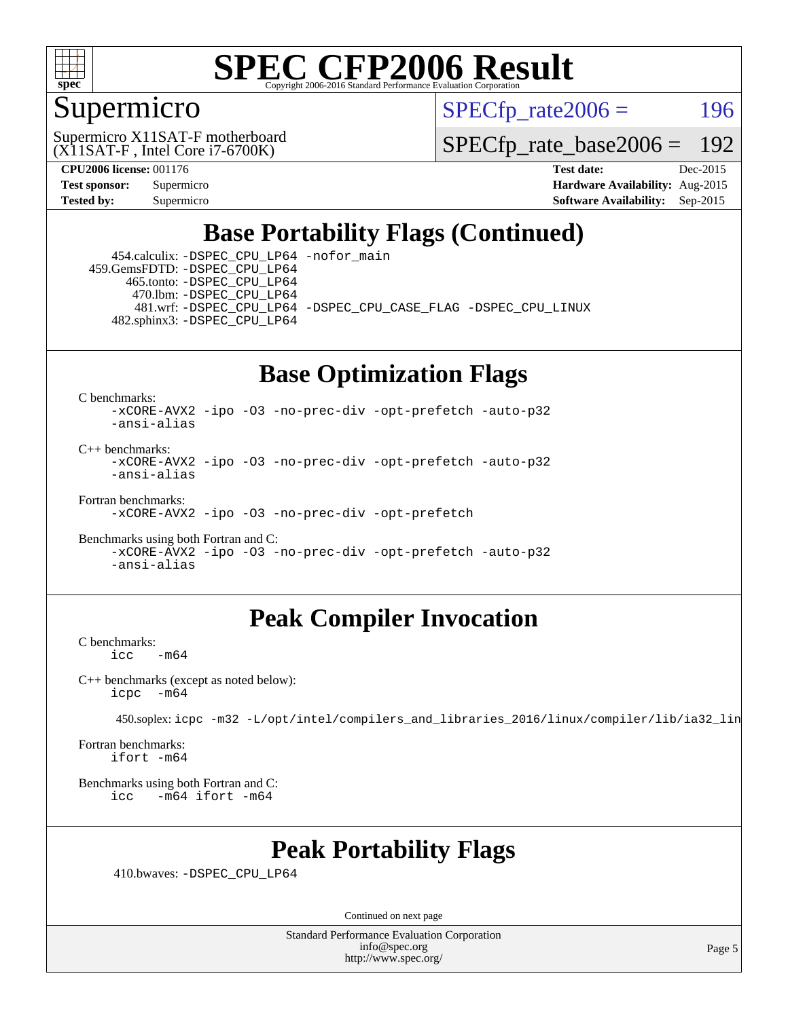

#### Supermicro

 $SPECTp\_rate2006 = 196$ 

(X11SAT-F , Intel Core i7-6700K) Supermicro X11SAT-F motherboard

[SPECfp\\_rate\\_base2006 =](http://www.spec.org/auto/cpu2006/Docs/result-fields.html#SPECfpratebase2006) 192

**[CPU2006 license:](http://www.spec.org/auto/cpu2006/Docs/result-fields.html#CPU2006license)** 001176 **[Test date:](http://www.spec.org/auto/cpu2006/Docs/result-fields.html#Testdate)** Dec-2015 **[Test sponsor:](http://www.spec.org/auto/cpu2006/Docs/result-fields.html#Testsponsor)** Supermicro **[Hardware Availability:](http://www.spec.org/auto/cpu2006/Docs/result-fields.html#HardwareAvailability)** Aug-2015 **[Tested by:](http://www.spec.org/auto/cpu2006/Docs/result-fields.html#Testedby)** Supermicro **Supermicro [Software Availability:](http://www.spec.org/auto/cpu2006/Docs/result-fields.html#SoftwareAvailability)** Sep-2015

### **[Base Portability Flags \(Continued\)](http://www.spec.org/auto/cpu2006/Docs/result-fields.html#BasePortabilityFlags)**

 454.calculix: [-DSPEC\\_CPU\\_LP64](http://www.spec.org/cpu2006/results/res2016q1/cpu2006-20160107-38617.flags.html#suite_basePORTABILITY454_calculix_DSPEC_CPU_LP64) [-nofor\\_main](http://www.spec.org/cpu2006/results/res2016q1/cpu2006-20160107-38617.flags.html#user_baseLDPORTABILITY454_calculix_f-nofor_main) 459.GemsFDTD: [-DSPEC\\_CPU\\_LP64](http://www.spec.org/cpu2006/results/res2016q1/cpu2006-20160107-38617.flags.html#suite_basePORTABILITY459_GemsFDTD_DSPEC_CPU_LP64) 465.tonto: [-DSPEC\\_CPU\\_LP64](http://www.spec.org/cpu2006/results/res2016q1/cpu2006-20160107-38617.flags.html#suite_basePORTABILITY465_tonto_DSPEC_CPU_LP64) 470.lbm: [-DSPEC\\_CPU\\_LP64](http://www.spec.org/cpu2006/results/res2016q1/cpu2006-20160107-38617.flags.html#suite_basePORTABILITY470_lbm_DSPEC_CPU_LP64) 481.wrf: [-DSPEC\\_CPU\\_LP64](http://www.spec.org/cpu2006/results/res2016q1/cpu2006-20160107-38617.flags.html#suite_basePORTABILITY481_wrf_DSPEC_CPU_LP64) [-DSPEC\\_CPU\\_CASE\\_FLAG](http://www.spec.org/cpu2006/results/res2016q1/cpu2006-20160107-38617.flags.html#b481.wrf_baseCPORTABILITY_DSPEC_CPU_CASE_FLAG) [-DSPEC\\_CPU\\_LINUX](http://www.spec.org/cpu2006/results/res2016q1/cpu2006-20160107-38617.flags.html#b481.wrf_baseCPORTABILITY_DSPEC_CPU_LINUX) 482.sphinx3: [-DSPEC\\_CPU\\_LP64](http://www.spec.org/cpu2006/results/res2016q1/cpu2006-20160107-38617.flags.html#suite_basePORTABILITY482_sphinx3_DSPEC_CPU_LP64)

### **[Base Optimization Flags](http://www.spec.org/auto/cpu2006/Docs/result-fields.html#BaseOptimizationFlags)**

[C benchmarks](http://www.spec.org/auto/cpu2006/Docs/result-fields.html#Cbenchmarks):

[-xCORE-AVX2](http://www.spec.org/cpu2006/results/res2016q1/cpu2006-20160107-38617.flags.html#user_CCbase_f-xAVX2_5f5fc0cbe2c9f62c816d3e45806c70d7) [-ipo](http://www.spec.org/cpu2006/results/res2016q1/cpu2006-20160107-38617.flags.html#user_CCbase_f-ipo) [-O3](http://www.spec.org/cpu2006/results/res2016q1/cpu2006-20160107-38617.flags.html#user_CCbase_f-O3) [-no-prec-div](http://www.spec.org/cpu2006/results/res2016q1/cpu2006-20160107-38617.flags.html#user_CCbase_f-no-prec-div) [-opt-prefetch](http://www.spec.org/cpu2006/results/res2016q1/cpu2006-20160107-38617.flags.html#user_CCbase_f-opt-prefetch) [-auto-p32](http://www.spec.org/cpu2006/results/res2016q1/cpu2006-20160107-38617.flags.html#user_CCbase_f-auto-p32) [-ansi-alias](http://www.spec.org/cpu2006/results/res2016q1/cpu2006-20160107-38617.flags.html#user_CCbase_f-ansi-alias)

 $C_{++}$  benchmarks: [-xCORE-AVX2](http://www.spec.org/cpu2006/results/res2016q1/cpu2006-20160107-38617.flags.html#user_CXXbase_f-xAVX2_5f5fc0cbe2c9f62c816d3e45806c70d7) [-ipo](http://www.spec.org/cpu2006/results/res2016q1/cpu2006-20160107-38617.flags.html#user_CXXbase_f-ipo) [-O3](http://www.spec.org/cpu2006/results/res2016q1/cpu2006-20160107-38617.flags.html#user_CXXbase_f-O3) [-no-prec-div](http://www.spec.org/cpu2006/results/res2016q1/cpu2006-20160107-38617.flags.html#user_CXXbase_f-no-prec-div) [-opt-prefetch](http://www.spec.org/cpu2006/results/res2016q1/cpu2006-20160107-38617.flags.html#user_CXXbase_f-opt-prefetch) [-auto-p32](http://www.spec.org/cpu2006/results/res2016q1/cpu2006-20160107-38617.flags.html#user_CXXbase_f-auto-p32) [-ansi-alias](http://www.spec.org/cpu2006/results/res2016q1/cpu2006-20160107-38617.flags.html#user_CXXbase_f-ansi-alias)

[Fortran benchmarks](http://www.spec.org/auto/cpu2006/Docs/result-fields.html#Fortranbenchmarks):

[-xCORE-AVX2](http://www.spec.org/cpu2006/results/res2016q1/cpu2006-20160107-38617.flags.html#user_FCbase_f-xAVX2_5f5fc0cbe2c9f62c816d3e45806c70d7) [-ipo](http://www.spec.org/cpu2006/results/res2016q1/cpu2006-20160107-38617.flags.html#user_FCbase_f-ipo) [-O3](http://www.spec.org/cpu2006/results/res2016q1/cpu2006-20160107-38617.flags.html#user_FCbase_f-O3) [-no-prec-div](http://www.spec.org/cpu2006/results/res2016q1/cpu2006-20160107-38617.flags.html#user_FCbase_f-no-prec-div) [-opt-prefetch](http://www.spec.org/cpu2006/results/res2016q1/cpu2006-20160107-38617.flags.html#user_FCbase_f-opt-prefetch)

[Benchmarks using both Fortran and C](http://www.spec.org/auto/cpu2006/Docs/result-fields.html#BenchmarksusingbothFortranandC): [-xCORE-AVX2](http://www.spec.org/cpu2006/results/res2016q1/cpu2006-20160107-38617.flags.html#user_CC_FCbase_f-xAVX2_5f5fc0cbe2c9f62c816d3e45806c70d7) [-ipo](http://www.spec.org/cpu2006/results/res2016q1/cpu2006-20160107-38617.flags.html#user_CC_FCbase_f-ipo) [-O3](http://www.spec.org/cpu2006/results/res2016q1/cpu2006-20160107-38617.flags.html#user_CC_FCbase_f-O3) [-no-prec-div](http://www.spec.org/cpu2006/results/res2016q1/cpu2006-20160107-38617.flags.html#user_CC_FCbase_f-no-prec-div) [-opt-prefetch](http://www.spec.org/cpu2006/results/res2016q1/cpu2006-20160107-38617.flags.html#user_CC_FCbase_f-opt-prefetch) [-auto-p32](http://www.spec.org/cpu2006/results/res2016q1/cpu2006-20160107-38617.flags.html#user_CC_FCbase_f-auto-p32) [-ansi-alias](http://www.spec.org/cpu2006/results/res2016q1/cpu2006-20160107-38617.flags.html#user_CC_FCbase_f-ansi-alias)

#### **[Peak Compiler Invocation](http://www.spec.org/auto/cpu2006/Docs/result-fields.html#PeakCompilerInvocation)**

[C benchmarks](http://www.spec.org/auto/cpu2006/Docs/result-fields.html#Cbenchmarks):  $-m64$ 

[C++ benchmarks \(except as noted below\):](http://www.spec.org/auto/cpu2006/Docs/result-fields.html#CXXbenchmarksexceptasnotedbelow) [icpc -m64](http://www.spec.org/cpu2006/results/res2016q1/cpu2006-20160107-38617.flags.html#user_CXXpeak_intel_icpc_64bit_bedb90c1146cab66620883ef4f41a67e)

450.soplex: [icpc -m32 -L/opt/intel/compilers\\_and\\_libraries\\_2016/linux/compiler/lib/ia32\\_lin](http://www.spec.org/cpu2006/results/res2016q1/cpu2006-20160107-38617.flags.html#user_peakCXXLD450_soplex_intel_icpc_b4f50a394bdb4597aa5879c16bc3f5c5)

[Fortran benchmarks](http://www.spec.org/auto/cpu2006/Docs/result-fields.html#Fortranbenchmarks): [ifort -m64](http://www.spec.org/cpu2006/results/res2016q1/cpu2006-20160107-38617.flags.html#user_FCpeak_intel_ifort_64bit_ee9d0fb25645d0210d97eb0527dcc06e)

[Benchmarks using both Fortran and C](http://www.spec.org/auto/cpu2006/Docs/result-fields.html#BenchmarksusingbothFortranandC): [icc -m64](http://www.spec.org/cpu2006/results/res2016q1/cpu2006-20160107-38617.flags.html#user_CC_FCpeak_intel_icc_64bit_0b7121f5ab7cfabee23d88897260401c) [ifort -m64](http://www.spec.org/cpu2006/results/res2016q1/cpu2006-20160107-38617.flags.html#user_CC_FCpeak_intel_ifort_64bit_ee9d0fb25645d0210d97eb0527dcc06e)

#### **[Peak Portability Flags](http://www.spec.org/auto/cpu2006/Docs/result-fields.html#PeakPortabilityFlags)**

410.bwaves: [-DSPEC\\_CPU\\_LP64](http://www.spec.org/cpu2006/results/res2016q1/cpu2006-20160107-38617.flags.html#suite_peakPORTABILITY410_bwaves_DSPEC_CPU_LP64)

Continued on next page

Standard Performance Evaluation Corporation [info@spec.org](mailto:info@spec.org) <http://www.spec.org/>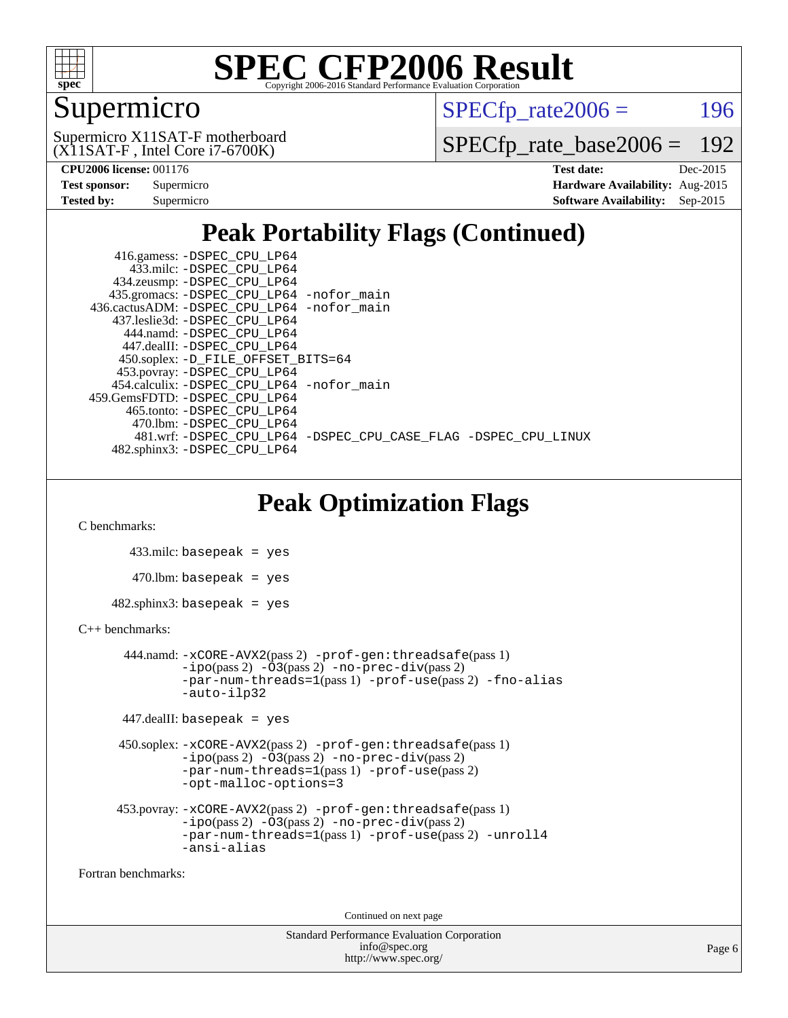

### Supermicro

 $SPECTp\_rate2006 = 196$ 

(X11SAT-F , Intel Core i7-6700K) Supermicro X11SAT-F motherboard

[SPECfp\\_rate\\_base2006 =](http://www.spec.org/auto/cpu2006/Docs/result-fields.html#SPECfpratebase2006) 192

| <b>Test sponsor:</b> | Supermicro |
|----------------------|------------|
| <b>Tested by:</b>    | Supermicro |

**[CPU2006 license:](http://www.spec.org/auto/cpu2006/Docs/result-fields.html#CPU2006license)** 001176 **[Test date:](http://www.spec.org/auto/cpu2006/Docs/result-fields.html#Testdate)** Dec-2015 **[Hardware Availability:](http://www.spec.org/auto/cpu2006/Docs/result-fields.html#HardwareAvailability)** Aug-2015 **[Software Availability:](http://www.spec.org/auto/cpu2006/Docs/result-fields.html#SoftwareAvailability)** Sep-2015

### **[Peak Portability Flags \(Continued\)](http://www.spec.org/auto/cpu2006/Docs/result-fields.html#PeakPortabilityFlags)**

| 416.gamess: -DSPEC_CPU_LP64                                    |  |
|----------------------------------------------------------------|--|
| 433.milc: -DSPEC CPU LP64                                      |  |
| 434.zeusmp: -DSPEC_CPU_LP64                                    |  |
| 435.gromacs: -DSPEC_CPU_LP64 -nofor_main                       |  |
| 436.cactusADM: -DSPEC CPU LP64 -nofor main                     |  |
| 437.leslie3d: -DSPEC CPU LP64                                  |  |
| 444.namd: -DSPEC CPU LP64                                      |  |
| 447.dealII: -DSPEC CPU LP64                                    |  |
| 450.soplex: -D_FILE_OFFSET_BITS=64                             |  |
| 453.povray: -DSPEC_CPU_LP64                                    |  |
| 454.calculix: - DSPEC CPU LP64 - nofor main                    |  |
| 459.GemsFDTD: -DSPEC CPU LP64                                  |  |
| 465.tonto: - DSPEC CPU LP64                                    |  |
| 470.1bm: - DSPEC CPU LP64                                      |  |
| 481.wrf: -DSPEC_CPU_LP64 -DSPEC_CPU_CASE_FLAG -DSPEC_CPU_LINUX |  |
| 482.sphinx3: -DSPEC_CPU_LP64                                   |  |

### **[Peak Optimization Flags](http://www.spec.org/auto/cpu2006/Docs/result-fields.html#PeakOptimizationFlags)**

[C benchmarks](http://www.spec.org/auto/cpu2006/Docs/result-fields.html#Cbenchmarks):

```
 433.milc: basepeak = yes
   470.lbm: basepeak = yes
482.sphinx3: basepeak = yes
```
#### [C++ benchmarks:](http://www.spec.org/auto/cpu2006/Docs/result-fields.html#CXXbenchmarks)

```
 444.namd: -xCORE-AVX2(pass 2) -prof-gen:threadsafe(pass 1)
       -no-prec-div(pass 2)-par-num-threads=1(pass 1) -prof-use(pass 2) -fno-alias
       -auto-ilp32
```

```
 447.dealII: basepeak = yes
```

```
 450.soplex: -xCORE-AVX2(pass 2) -prof-gen:threadsafe(pass 1)
          -i\text{po}(pass 2) -\overset{\sim}{O}3(pass 2)-no-prec-div(pass 2)
          -par-num-threads=1(pass 1) -prof-use(pass 2)
          -opt-malloc-options=3
```

```
 453.povray: -xCORE-AVX2(pass 2) -prof-gen:threadsafe(pass 1)
          -ipo(pass 2) -O3(pass 2) -no-prec-div(pass 2)
          -par-num-threads=1(pass 1) -prof-use(pass 2) -unroll4
          -ansi-alias
```
[Fortran benchmarks](http://www.spec.org/auto/cpu2006/Docs/result-fields.html#Fortranbenchmarks):

Continued on next page

```
Standard Performance Evaluation Corporation
             info@spec.org
           http://www.spec.org/
```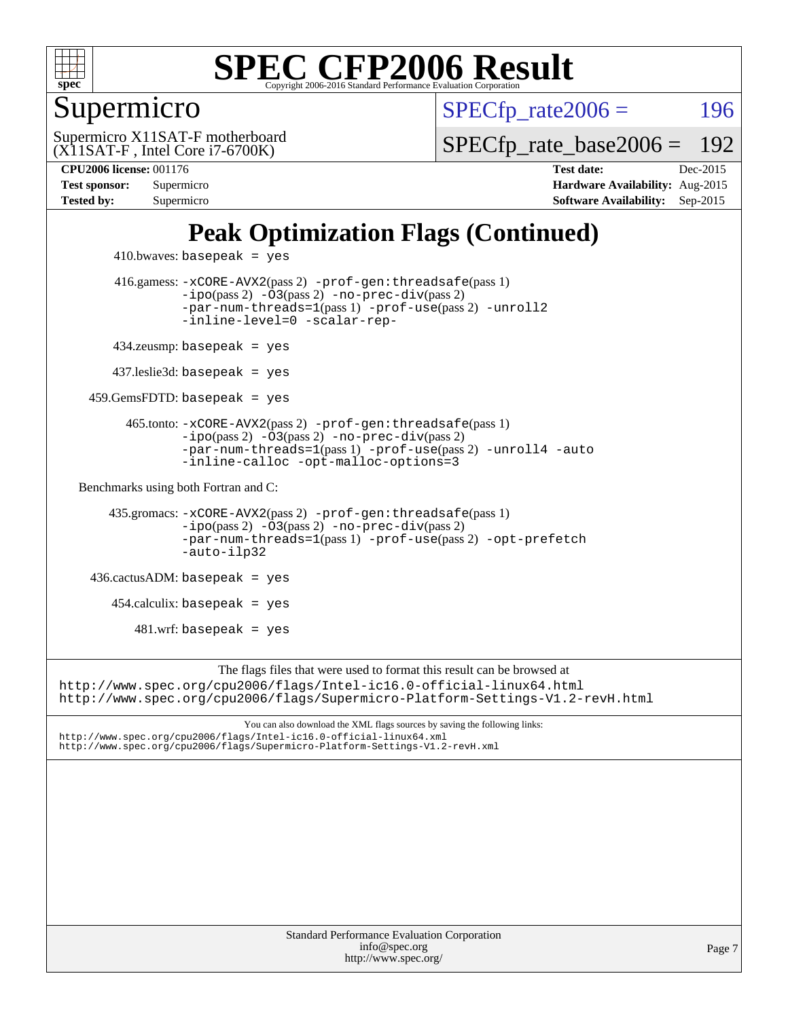

#### Supermicro

 $SPECTp\_rate2006 = 196$ 

(X11SAT-F , Intel Core i7-6700K) Supermicro X11SAT-F motherboard

[SPECfp\\_rate\\_base2006 =](http://www.spec.org/auto/cpu2006/Docs/result-fields.html#SPECfpratebase2006) 192

**[CPU2006 license:](http://www.spec.org/auto/cpu2006/Docs/result-fields.html#CPU2006license)** 001176 **[Test date:](http://www.spec.org/auto/cpu2006/Docs/result-fields.html#Testdate)** Dec-2015 **[Test sponsor:](http://www.spec.org/auto/cpu2006/Docs/result-fields.html#Testsponsor)** Supermicro **[Hardware Availability:](http://www.spec.org/auto/cpu2006/Docs/result-fields.html#HardwareAvailability)** Aug-2015 **[Tested by:](http://www.spec.org/auto/cpu2006/Docs/result-fields.html#Testedby)** Supermicro **Supermicro [Software Availability:](http://www.spec.org/auto/cpu2006/Docs/result-fields.html#SoftwareAvailability)** Sep-2015

### **[Peak Optimization Flags \(Continued\)](http://www.spec.org/auto/cpu2006/Docs/result-fields.html#PeakOptimizationFlags)**

```
410.bwaves: basepeak = yes 416.gamess: -xCORE-AVX2(pass 2) -prof-gen:threadsafe(pass 1)
                 -no-prec-div(pass 2)-par-num-threads=1(pass 1) -prof-use(pass 2) -unroll2
                 -inline-level=0 -scalar-rep-
        434.zeusmp: basepeak = yes
        437.leslie3d: basepeak = yes
     459.GemsFDTD: basepeak = yes
          465.tonto: -xCORE-AVX2(pass 2) -prof-gen:threadsafe(pass 1)
                 -no-prec-div(pass 2)-par-num-threads=1(pass 1) -prof-use(pass 2) -unroll4 -auto
                 -inline-calloc -opt-malloc-options=3
  Benchmarks using both Fortran and C: 
       435.gromacs: -xCORE-AVX2(pass 2) -prof-gen:threadsafe(pass 1)
                 -no-prec-div(pass 2)-par-num-threads=1(pass 1) -prof-use(pass 2) -opt-prefetch
                 -auto-ilp32
     436.cactusADM: basepeak = yes
       454.calculix: basepeak = yes
          481.wrf: basepeak = yes
                      The flags files that were used to format this result can be browsed at
http://www.spec.org/cpu2006/flags/Intel-ic16.0-official-linux64.html
http://www.spec.org/cpu2006/flags/Supermicro-Platform-Settings-V1.2-revH.html
```
You can also download the XML flags sources by saving the following links: <http://www.spec.org/cpu2006/flags/Intel-ic16.0-official-linux64.xml> <http://www.spec.org/cpu2006/flags/Supermicro-Platform-Settings-V1.2-revH.xml>